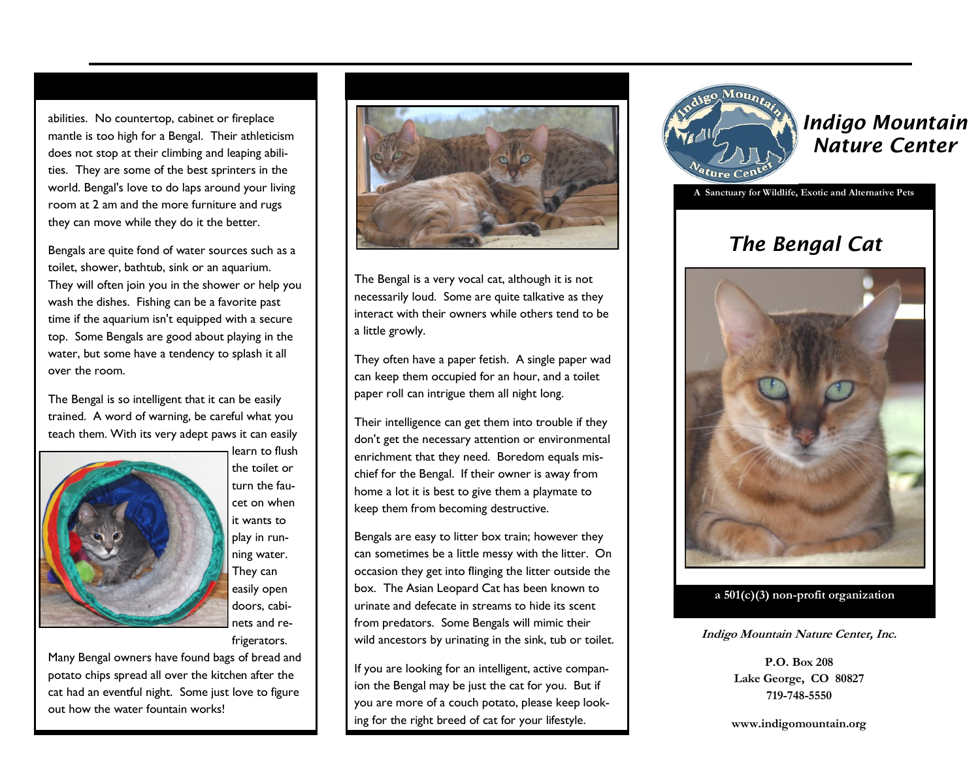abilities. No countertop, cabinet or fireplace mantle is too high for a Bengal. Their athleticism does not stop at their climbing and leaping abilities. They are some of the best sprinters in the world. Bengal's love to do laps around your living room at 2 am and the more furniture and rugs they can move while they do it the better.

Bengals are quite fond of water sources such as a toilet, shower, bathtub, sink or an aquarium. They will often join you in the shower or help you wash the dishes. Fishing can be a favorite past time if the aquarium isn't equipped with a secure top. Some Bengals are good about playing in the water, but some have a tendency to splash it all over the room.

The Bengal is so intelligent that it can be easily trained. A word of warning, be careful what you teach them. With its very adept paws it can easily



learn to flush the toilet or turn the faucet on when it wants to play in running water. They can easily open doors, cabinets and refrigerators.

Many Bengal owners have found bags of bread and potato chips spread all over the kitchen after the cat had an eventful night. Some just love to figure out how the water fountain works!



The Bengal is a very vocal cat, although it is not necessarily loud. Some are quite talkative as they interact with their owners while others tend to be a little growly.

They often have a paper fetish. A single paper wad can keep them occupied for an hour, and a toilet paper roll can intrigue them all night long.

Their intelligence can get them into trouble if they don't get the necessary attention or environmental enrichment that they need. Boredom equals mischief for the Bengal. If their owner is away from home a lot it is best to give them a playmate to keep them from becoming destructive.

Bengals are easy to litter box train; however they can sometimes be a little messy with the litter. On occasion they get into flinging the litter outside the box. The Asian Leopard Cat has been known to urinate and defecate in streams to hide its scent from predators. Some Bengals will mimic their wild ancestors by urinating in the sink, tub or toilet.

If you are looking for an intelligent, active companion the Bengal may be just the cat for you. But if you are more of a couch potato, please keep looking for the right breed of cat for your lifestyle.



*Indigo Mountain Nature Center*

**A Sanctuary for Wildlife, Exotic and Alternative Pets**

## *The Bengal Cat*



**a 501(c)(3) non-profit organization**

**Indigo Mountain Nature Center, Inc.**

**P.O. Box 208 Lake George, CO 80827 719-748-5550**

**www.indigomountain.org**